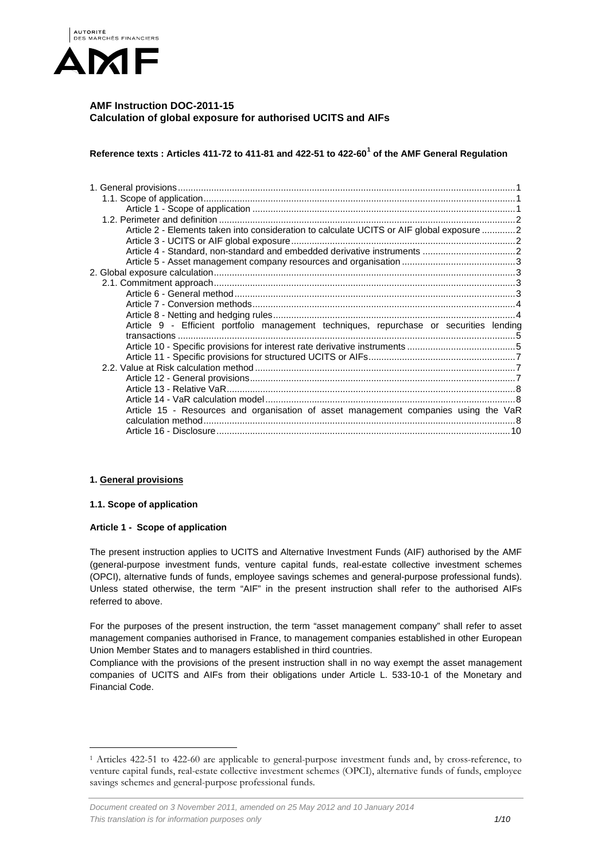

# **AMF Instruction DOC-2011-15 Calculation of global exposure for authorised UCITS and AIFs**

**Reference texts : Articles 411-72 to 411-81 and 422-51 to 422-60[1](#page-0-3) of the AMF General Regulation**

| Article 2 - Elements taken into consideration to calculate UCITS or AIF global exposure 2 |  |
|-------------------------------------------------------------------------------------------|--|
|                                                                                           |  |
|                                                                                           |  |
|                                                                                           |  |
|                                                                                           |  |
|                                                                                           |  |
|                                                                                           |  |
|                                                                                           |  |
|                                                                                           |  |
| Article 9 - Efficient portfolio management techniques, repurchase or securities lending   |  |
|                                                                                           |  |
|                                                                                           |  |
|                                                                                           |  |
|                                                                                           |  |
|                                                                                           |  |
|                                                                                           |  |
|                                                                                           |  |
| Article 15 - Resources and organisation of asset management companies using the VaR       |  |
|                                                                                           |  |
|                                                                                           |  |

# <span id="page-0-0"></span>**1. General provisions**

# <span id="page-0-1"></span>**1.1. Scope of application**

# <span id="page-0-2"></span>**Article 1 - Scope of application**

The present instruction applies to UCITS and Alternative Investment Funds (AIF) authorised by the AMF (general-purpose investment funds, venture capital funds, real-estate collective investment schemes (OPCI), alternative funds of funds, employee savings schemes and general-purpose professional funds). Unless stated otherwise, the term "AIF" in the present instruction shall refer to the authorised AIFs referred to above.

For the purposes of the present instruction, the term "asset management company" shall refer to asset management companies authorised in France, to management companies established in other European Union Member States and to managers established in third countries.

Compliance with the provisions of the present instruction shall in no way exempt the asset management companies of UCITS and AIFs from their obligations under Article L. 533-10-1 of the Monetary and Financial Code.

<span id="page-0-3"></span> <sup>1</sup> Articles 422-51 to 422-60 are applicable to general-purpose investment funds and, by cross-reference, to venture capital funds, real-estate collective investment schemes (OPCI), alternative funds of funds, employee savings schemes and general-purpose professional funds.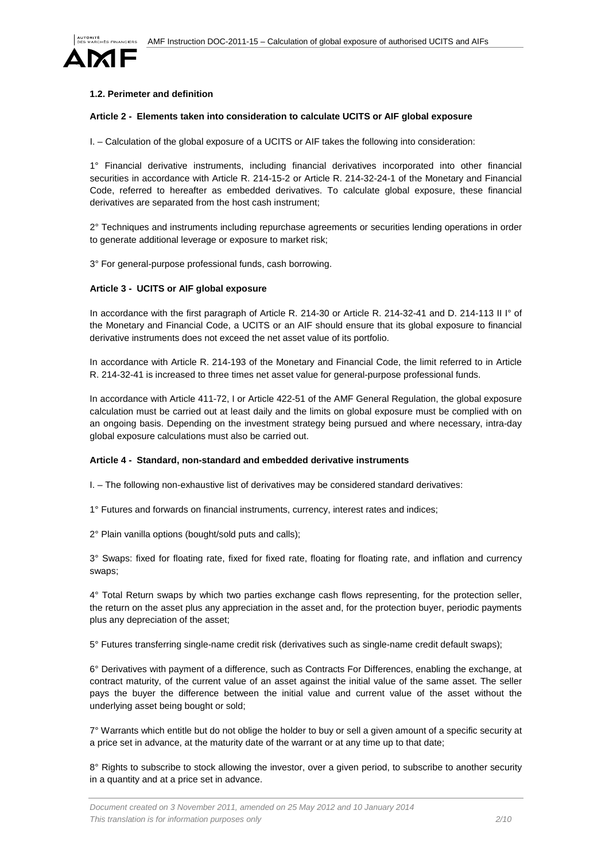

## <span id="page-1-0"></span>**1.2. Perimeter and definition**

### <span id="page-1-1"></span>**Article 2 - Elements taken into consideration to calculate UCITS or AIF global exposure**

I. – Calculation of the global exposure of a UCITS or AIF takes the following into consideration:

1° Financial derivative instruments, including financial derivatives incorporated into other financial securities in accordance with Article R. 214-15-2 or Article R. 214-32-24-1 of the Monetary and Financial Code, referred to hereafter as embedded derivatives. To calculate global exposure, these financial derivatives are separated from the host cash instrument;

2° Techniques and instruments including repurchase agreements or securities lending operations in order to generate additional leverage or exposure to market risk;

3° For general-purpose professional funds, cash borrowing.

# <span id="page-1-2"></span>**Article 3 - UCITS or AIF global exposure**

In accordance with the first paragraph of Article R. 214-30 or Article R. 214-32-41 and D. 214-113 II I° of the Monetary and Financial Code, a UCITS or an AIF should ensure that its global exposure to financial derivative instruments does not exceed the net asset value of its portfolio.

In accordance with Article R. 214-193 of the Monetary and Financial Code, the limit referred to in Article R. 214-32-41 is increased to three times net asset value for general-purpose professional funds.

In accordance with Article 411-72, I or Article 422-51 of the AMF General Regulation, the global exposure calculation must be carried out at least daily and the limits on global exposure must be complied with on an ongoing basis. Depending on the investment strategy being pursued and where necessary, intra-day global exposure calculations must also be carried out.

#### <span id="page-1-3"></span>**Article 4 - Standard, non-standard and embedded derivative instruments**

I. – The following non-exhaustive list of derivatives may be considered standard derivatives:

1° Futures and forwards on financial instruments, currency, interest rates and indices;

2° Plain vanilla options (bought/sold puts and calls);

3° Swaps: fixed for floating rate, fixed for fixed rate, floating for floating rate, and inflation and currency swaps;

4° Total Return swaps by which two parties exchange cash flows representing, for the protection seller, the return on the asset plus any appreciation in the asset and, for the protection buyer, periodic payments plus any depreciation of the asset;

5° Futures transferring single-name credit risk (derivatives such as single-name credit default swaps);

6° Derivatives with payment of a difference, such as Contracts For Differences, enabling the exchange, at contract maturity, of the current value of an asset against the initial value of the same asset. The seller pays the buyer the difference between the initial value and current value of the asset without the underlying asset being bought or sold;

7° Warrants which entitle but do not oblige the holder to buy or sell a given amount of a specific security at a price set in advance, at the maturity date of the warrant or at any time up to that date;

8° Rights to subscribe to stock allowing the investor, over a given period, to subscribe to another security in a quantity and at a price set in advance.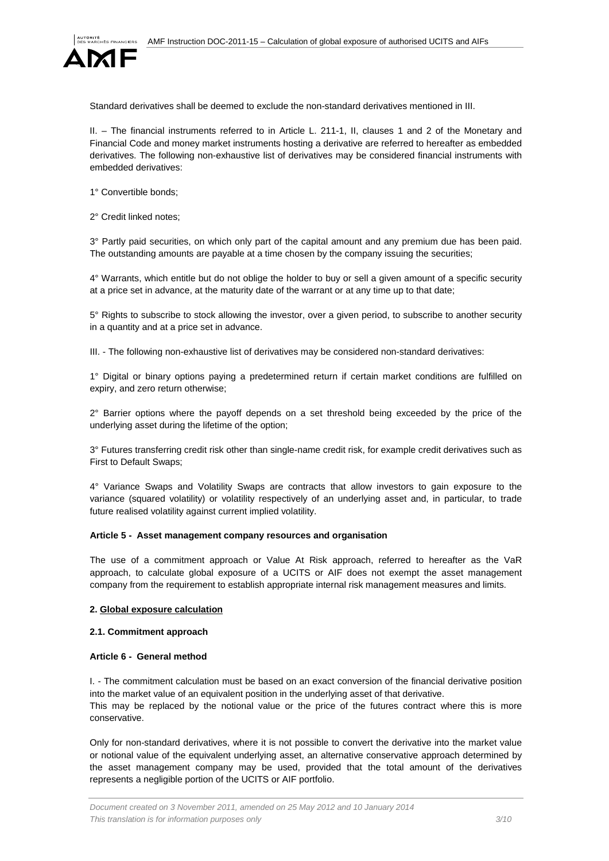

Standard derivatives shall be deemed to exclude the non-standard derivatives mentioned in III.

II. – The financial instruments referred to in Article L. 211-1, II, clauses 1 and 2 of the Monetary and Financial Code and money market instruments hosting a derivative are referred to hereafter as embedded derivatives. The following non-exhaustive list of derivatives may be considered financial instruments with embedded derivatives:

1° Convertible bonds;

2° Credit linked notes;

3° Partly paid securities, on which only part of the capital amount and any premium due has been paid. The outstanding amounts are payable at a time chosen by the company issuing the securities;

4° Warrants, which entitle but do not oblige the holder to buy or sell a given amount of a specific security at a price set in advance, at the maturity date of the warrant or at any time up to that date;

5° Rights to subscribe to stock allowing the investor, over a given period, to subscribe to another security in a quantity and at a price set in advance.

III. - The following non-exhaustive list of derivatives may be considered non-standard derivatives:

1° Digital or binary options paying a predetermined return if certain market conditions are fulfilled on expiry, and zero return otherwise;

2° Barrier options where the payoff depends on a set threshold being exceeded by the price of the underlying asset during the lifetime of the option;

3° Futures transferring credit risk other than single-name credit risk, for example credit derivatives such as First to Default Swaps;

4° Variance Swaps and Volatility Swaps are contracts that allow investors to gain exposure to the variance (squared volatility) or volatility respectively of an underlying asset and, in particular, to trade future realised volatility against current implied volatility.

#### <span id="page-2-0"></span>**Article 5 - Asset management company resources and organisation**

The use of a commitment approach or Value At Risk approach, referred to hereafter as the VaR approach, to calculate global exposure of a UCITS or AIF does not exempt the asset management company from the requirement to establish appropriate internal risk management measures and limits.

### <span id="page-2-1"></span>**2. Global exposure calculation**

# <span id="page-2-2"></span>**2.1. Commitment approach**

#### <span id="page-2-3"></span>**Article 6 - General method**

I. - The commitment calculation must be based on an exact conversion of the financial derivative position into the market value of an equivalent position in the underlying asset of that derivative. This may be replaced by the notional value or the price of the futures contract where this is more conservative.

Only for non-standard derivatives, where it is not possible to convert the derivative into the market value or notional value of the equivalent underlying asset, an alternative conservative approach determined by the asset management company may be used, provided that the total amount of the derivatives represents a negligible portion of the UCITS or AIF portfolio.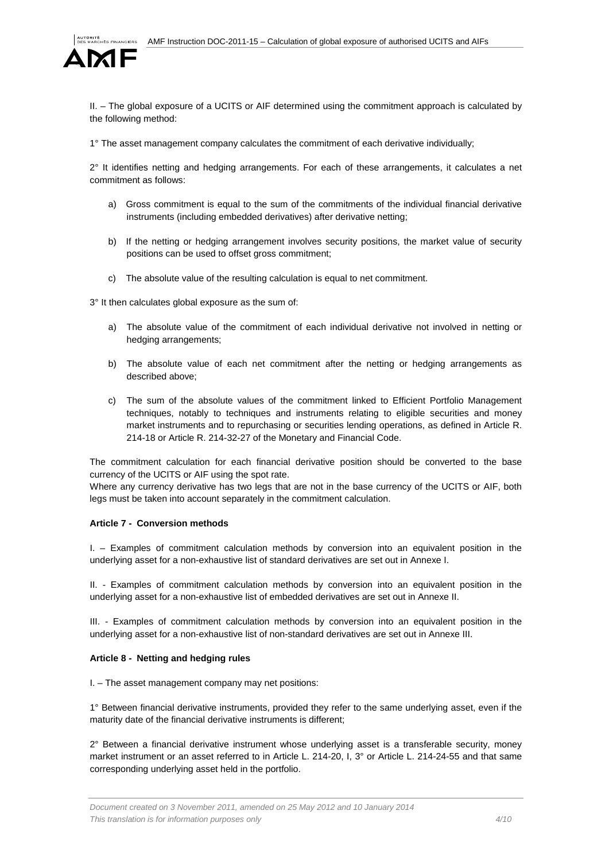

II. – The global exposure of a UCITS or AIF determined using the commitment approach is calculated by the following method:

1° The asset management company calculates the commitment of each derivative individually;

2° It identifies netting and hedging arrangements. For each of these arrangements, it calculates a net commitment as follows:

- a) Gross commitment is equal to the sum of the commitments of the individual financial derivative instruments (including embedded derivatives) after derivative netting;
- b) If the netting or hedging arrangement involves security positions, the market value of security positions can be used to offset gross commitment;
- c) The absolute value of the resulting calculation is equal to net commitment.

3° It then calculates global exposure as the sum of:

- a) The absolute value of the commitment of each individual derivative not involved in netting or hedging arrangements;
- b) The absolute value of each net commitment after the netting or hedging arrangements as described above;
- c) The sum of the absolute values of the commitment linked to Efficient Portfolio Management techniques, notably to techniques and instruments relating to eligible securities and money market instruments and to repurchasing or securities lending operations, as defined in Article R. 214-18 or Article R. 214-32-27 of the Monetary and Financial Code.

The commitment calculation for each financial derivative position should be converted to the base currency of the UCITS or AIF using the spot rate.

Where any currency derivative has two legs that are not in the base currency of the UCITS or AIF, both legs must be taken into account separately in the commitment calculation.

#### <span id="page-3-0"></span>**Article 7 - Conversion methods**

I. – Examples of commitment calculation methods by conversion into an equivalent position in the underlying asset for a non-exhaustive list of standard derivatives are set out in Annexe I.

II. - Examples of commitment calculation methods by conversion into an equivalent position in the underlying asset for a non-exhaustive list of embedded derivatives are set out in Annexe II.

III. - Examples of commitment calculation methods by conversion into an equivalent position in the underlying asset for a non-exhaustive list of non-standard derivatives are set out in Annexe III.

# <span id="page-3-1"></span>**Article 8 - Netting and hedging rules**

I. – The asset management company may net positions:

1° Between financial derivative instruments, provided they refer to the same underlying asset, even if the maturity date of the financial derivative instruments is different;

2° Between a financial derivative instrument whose underlying asset is a transferable security, money market instrument or an asset referred to in Article L. 214-20, I, 3° or Article L. 214-24-55 and that same corresponding underlying asset held in the portfolio.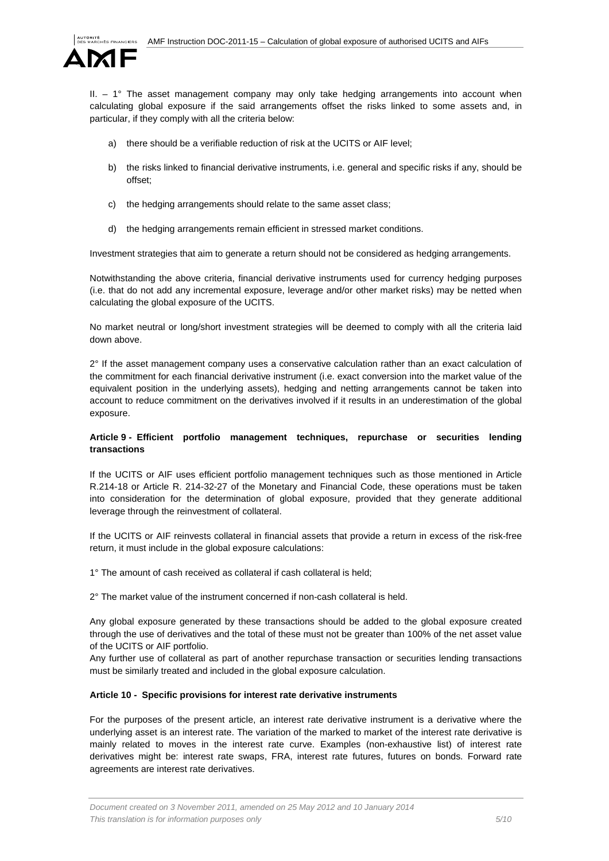

II. – 1° The asset management company may only take hedging arrangements into account when calculating global exposure if the said arrangements offset the risks linked to some assets and, in particular, if they comply with all the criteria below:

- a) there should be a verifiable reduction of risk at the UCITS or AIF level;
- b) the risks linked to financial derivative instruments, i.e. general and specific risks if any, should be offset;
- c) the hedging arrangements should relate to the same asset class;
- d) the hedging arrangements remain efficient in stressed market conditions.

Investment strategies that aim to generate a return should not be considered as hedging arrangements.

Notwithstanding the above criteria, financial derivative instruments used for currency hedging purposes (i.e. that do not add any incremental exposure, leverage and/or other market risks) may be netted when calculating the global exposure of the UCITS.

No market neutral or long/short investment strategies will be deemed to comply with all the criteria laid down above.

2° If the asset management company uses a conservative calculation rather than an exact calculation of the commitment for each financial derivative instrument (i.e. exact conversion into the market value of the equivalent position in the underlying assets), hedging and netting arrangements cannot be taken into account to reduce commitment on the derivatives involved if it results in an underestimation of the global exposure.

# <span id="page-4-0"></span>**Article 9 - Efficient portfolio management techniques, repurchase or securities lending transactions**

If the UCITS or AIF uses efficient portfolio management techniques such as those mentioned in Article R.214-18 or Article R. 214-32-27 of the Monetary and Financial Code, these operations must be taken into consideration for the determination of global exposure, provided that they generate additional leverage through the reinvestment of collateral.

If the UCITS or AIF reinvests collateral in financial assets that provide a return in excess of the risk-free return, it must include in the global exposure calculations:

1° The amount of cash received as collateral if cash collateral is held;

2° The market value of the instrument concerned if non-cash collateral is held.

Any global exposure generated by these transactions should be added to the global exposure created through the use of derivatives and the total of these must not be greater than 100% of the net asset value of the UCITS or AIF portfolio.

Any further use of collateral as part of another repurchase transaction or securities lending transactions must be similarly treated and included in the global exposure calculation.

#### <span id="page-4-1"></span>**Article 10 - Specific provisions for interest rate derivative instruments**

For the purposes of the present article, an interest rate derivative instrument is a derivative where the underlying asset is an interest rate. The variation of the marked to market of the interest rate derivative is mainly related to moves in the interest rate curve. Examples (non-exhaustive list) of interest rate derivatives might be: interest rate swaps, FRA, interest rate futures, futures on bonds. Forward rate agreements are interest rate derivatives.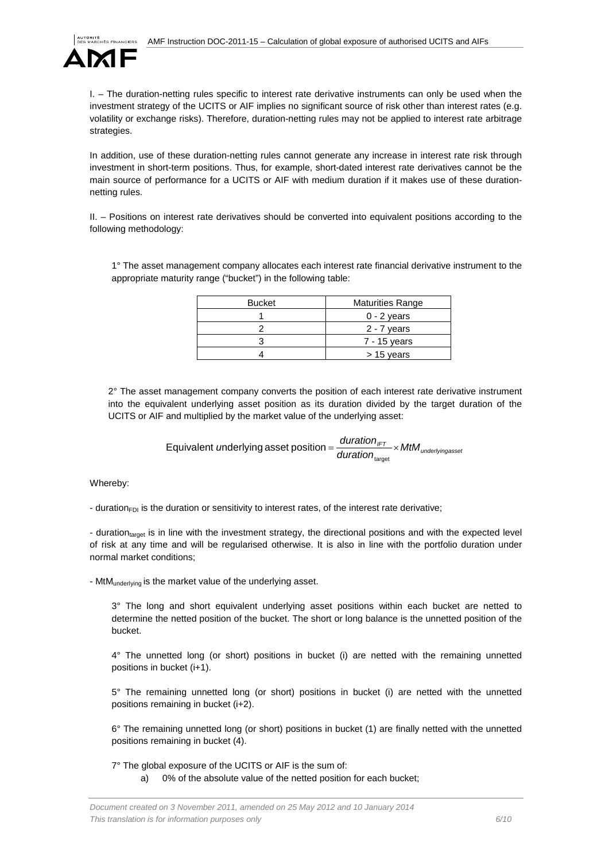

I. – The duration-netting rules specific to interest rate derivative instruments can only be used when the investment strategy of the UCITS or AIF implies no significant source of risk other than interest rates (e.g. volatility or exchange risks). Therefore, duration-netting rules may not be applied to interest rate arbitrage strategies.

In addition, use of these duration-netting rules cannot generate any increase in interest rate risk through investment in short-term positions. Thus, for example, short-dated interest rate derivatives cannot be the main source of performance for a UCITS or AIF with medium duration if it makes use of these durationnetting rules.

II. – Positions on interest rate derivatives should be converted into equivalent positions according to the following methodology:

1° The asset management company allocates each interest rate financial derivative instrument to the appropriate maturity range ("bucket") in the following table:

| <b>Bucket</b> | <b>Maturities Range</b> |
|---------------|-------------------------|
|               | $0 - 2$ years           |
|               | 2 - 7 years             |
|               | 7 - 15 years            |
|               | $> 15$ years            |

2° The asset management company converts the position of each interest rate derivative instrument into the equivalent underlying asset position as its duration divided by the target duration of the UCITS or AIF and multiplied by the market value of the underlying asset:

> $\frac{1}{\text{duration}_{\text{Intra}}}\times \text{MtM}_{\text{underlyingasse}}$ *u*nderlying asset position =  $\frac{duration_{\text{IFT}}}{1 + 1}$  × target Equivalent underlying asset position

Whereby:

- duration<sub>FDI</sub> is the duration or sensitivity to interest rates, of the interest rate derivative;

- durationtarget is in line with the investment strategy, the directional positions and with the expected level of risk at any time and will be regularised otherwise. It is also in line with the portfolio duration under normal market conditions;

- MtMunderlying is the market value of the underlying asset.

3° The long and short equivalent underlying asset positions within each bucket are netted to determine the netted position of the bucket. The short or long balance is the unnetted position of the bucket.

4° The unnetted long (or short) positions in bucket (i) are netted with the remaining unnetted positions in bucket (i+1).

5° The remaining unnetted long (or short) positions in bucket (i) are netted with the unnetted positions remaining in bucket (i+2).

6° The remaining unnetted long (or short) positions in bucket (1) are finally netted with the unnetted positions remaining in bucket (4).

7° The global exposure of the UCITS or AIF is the sum of:

a) 0% of the absolute value of the netted position for each bucket;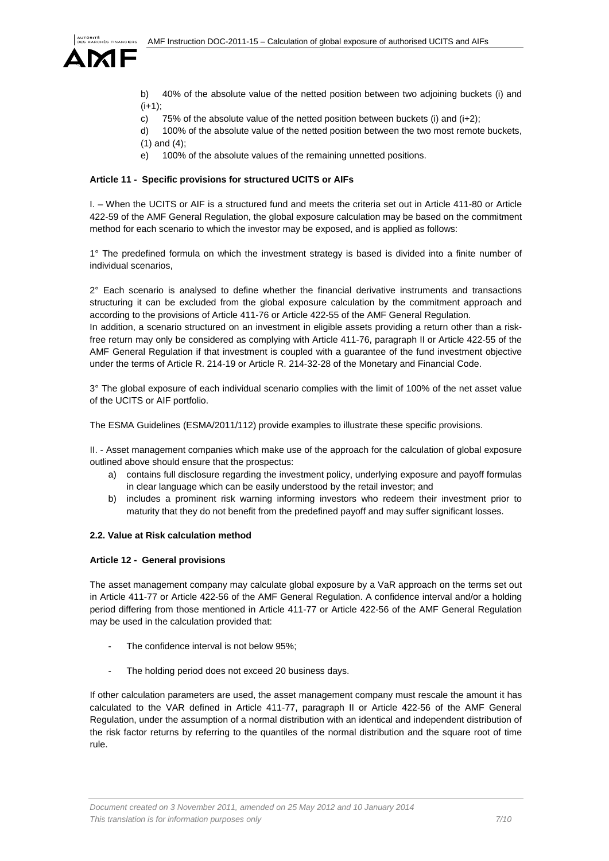

b) 40% of the absolute value of the netted position between two adjoining buckets (i) and  $(i+1);$ 

- c) 75% of the absolute value of the netted position between buckets (i) and  $(i+2)$ ;
- d) 100% of the absolute value of the netted position between the two most remote buckets,
- (1) and (4);
- e) 100% of the absolute values of the remaining unnetted positions.

### <span id="page-6-0"></span>**Article 11 - Specific provisions for structured UCITS or AIFs**

I. – When the UCITS or AIF is a structured fund and meets the criteria set out in Article 411-80 or Article 422-59 of the AMF General Regulation, the global exposure calculation may be based on the commitment method for each scenario to which the investor may be exposed, and is applied as follows:

1° The predefined formula on which the investment strategy is based is divided into a finite number of individual scenarios,

 $2^{\circ}$  Each scenario is analysed to define whether the financial derivative instruments and transactions structuring it can be excluded from the global exposure calculation by the commitment approach and according to the provisions of Article 411-76 or Article 422-55 of the AMF General Regulation. In addition, a scenario structured on an investment in eligible assets providing a return other than a risk-

free return may only be considered as complying with Article 411-76, paragraph II or Article 422-55 of the AMF General Regulation if that investment is coupled with a guarantee of the fund investment objective under the terms of Article R. 214-19 or Article R. 214-32-28 of the Monetary and Financial Code.

3° The global exposure of each individual scenario complies with the limit of 100% of the net asset value of the UCITS or AIF portfolio.

The ESMA Guidelines (ESMA/2011/112) provide examples to illustrate these specific provisions.

II. - Asset management companies which make use of the approach for the calculation of global exposure outlined above should ensure that the prospectus:

- a) contains full disclosure regarding the investment policy, underlying exposure and payoff formulas in clear language which can be easily understood by the retail investor; and
- b) includes a prominent risk warning informing investors who redeem their investment prior to maturity that they do not benefit from the predefined payoff and may suffer significant losses.

# <span id="page-6-1"></span>**2.2. Value at Risk calculation method**

#### <span id="page-6-2"></span>**Article 12 - General provisions**

The asset management company may calculate global exposure by a VaR approach on the terms set out in Article 411-77 or Article 422-56 of the AMF General Regulation. A confidence interval and/or a holding period differing from those mentioned in Article 411-77 or Article 422-56 of the AMF General Regulation may be used in the calculation provided that:

- The confidence interval is not below 95%:
- The holding period does not exceed 20 business days.

If other calculation parameters are used, the asset management company must rescale the amount it has calculated to the VAR defined in Article 411-77, paragraph II or Article 422-56 of the AMF General Regulation, under the assumption of a normal distribution with an identical and independent distribution of the risk factor returns by referring to the quantiles of the normal distribution and the square root of time rule.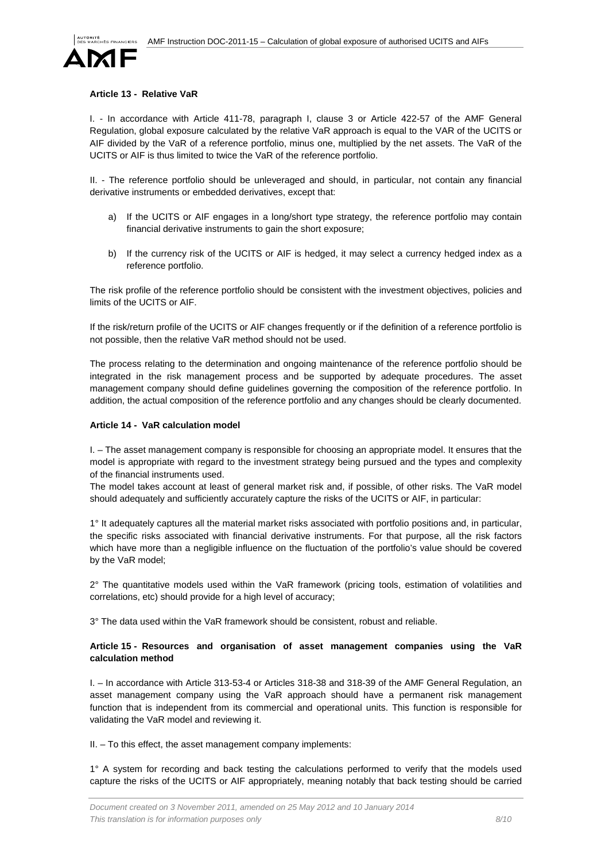

### <span id="page-7-0"></span>**Article 13 - Relative VaR**

I. - In accordance with Article 411-78, paragraph I, clause 3 or Article 422-57 of the AMF General Regulation, global exposure calculated by the relative VaR approach is equal to the VAR of the UCITS or AIF divided by the VaR of a reference portfolio, minus one, multiplied by the net assets. The VaR of the UCITS or AIF is thus limited to twice the VaR of the reference portfolio.

II. - The reference portfolio should be unleveraged and should, in particular, not contain any financial derivative instruments or embedded derivatives, except that:

- a) If the UCITS or AIF engages in a long/short type strategy, the reference portfolio may contain financial derivative instruments to gain the short exposure;
- b) If the currency risk of the UCITS or AIF is hedged, it may select a currency hedged index as a reference portfolio.

The risk profile of the reference portfolio should be consistent with the investment objectives, policies and limits of the UCITS or AIF.

If the risk/return profile of the UCITS or AIF changes frequently or if the definition of a reference portfolio is not possible, then the relative VaR method should not be used.

The process relating to the determination and ongoing maintenance of the reference portfolio should be integrated in the risk management process and be supported by adequate procedures. The asset management company should define guidelines governing the composition of the reference portfolio. In addition, the actual composition of the reference portfolio and any changes should be clearly documented.

#### <span id="page-7-1"></span>**Article 14 - VaR calculation model**

I. – The asset management company is responsible for choosing an appropriate model. It ensures that the model is appropriate with regard to the investment strategy being pursued and the types and complexity of the financial instruments used.

The model takes account at least of general market risk and, if possible, of other risks. The VaR model should adequately and sufficiently accurately capture the risks of the UCITS or AIF, in particular:

1° It adequately captures all the material market risks associated with portfolio positions and, in particular, the specific risks associated with financial derivative instruments. For that purpose, all the risk factors which have more than a negligible influence on the fluctuation of the portfolio's value should be covered by the VaR model;

2° The quantitative models used within the VaR framework (pricing tools, estimation of volatilities and correlations, etc) should provide for a high level of accuracy;

3° The data used within the VaR framework should be consistent, robust and reliable.

# <span id="page-7-2"></span>**Article 15 - Resources and organisation of asset management companies using the VaR calculation method**

I. – In accordance with Article 313-53-4 or Articles 318-38 and 318-39 of the AMF General Regulation, an asset management company using the VaR approach should have a permanent risk management function that is independent from its commercial and operational units. This function is responsible for validating the VaR model and reviewing it.

II. – To this effect, the asset management company implements:

1° A system for recording and back testing the calculations performed to verify that the models used capture the risks of the UCITS or AIF appropriately, meaning notably that back testing should be carried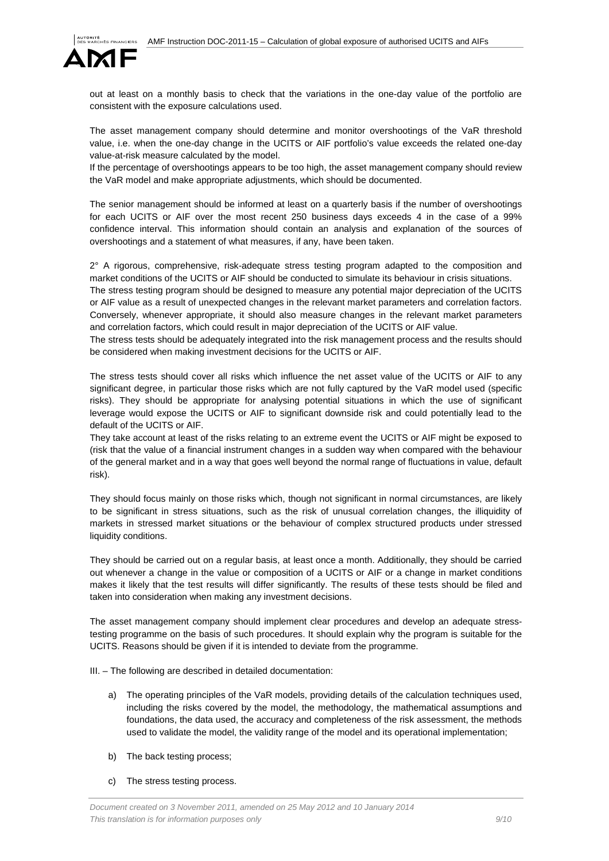

out at least on a monthly basis to check that the variations in the one-day value of the portfolio are consistent with the exposure calculations used.

The asset management company should determine and monitor overshootings of the VaR threshold value, i.e. when the one-day change in the UCITS or AIF portfolio's value exceeds the related one-day value-at-risk measure calculated by the model.

If the percentage of overshootings appears to be too high, the asset management company should review the VaR model and make appropriate adjustments, which should be documented.

The senior management should be informed at least on a quarterly basis if the number of overshootings for each UCITS or AIF over the most recent 250 business days exceeds 4 in the case of a 99% confidence interval. This information should contain an analysis and explanation of the sources of overshootings and a statement of what measures, if any, have been taken.

2° A rigorous, comprehensive, risk-adequate stress testing program adapted to the composition and market conditions of the UCITS or AIF should be conducted to simulate its behaviour in crisis situations.

The stress testing program should be designed to measure any potential major depreciation of the UCITS or AIF value as a result of unexpected changes in the relevant market parameters and correlation factors. Conversely, whenever appropriate, it should also measure changes in the relevant market parameters and correlation factors, which could result in major depreciation of the UCITS or AIF value.

The stress tests should be adequately integrated into the risk management process and the results should be considered when making investment decisions for the UCITS or AIF.

The stress tests should cover all risks which influence the net asset value of the UCITS or AIF to any significant degree, in particular those risks which are not fully captured by the VaR model used (specific risks). They should be appropriate for analysing potential situations in which the use of significant leverage would expose the UCITS or AIF to significant downside risk and could potentially lead to the default of the UCITS or AIF.

They take account at least of the risks relating to an extreme event the UCITS or AIF might be exposed to (risk that the value of a financial instrument changes in a sudden way when compared with the behaviour of the general market and in a way that goes well beyond the normal range of fluctuations in value, default risk).

They should focus mainly on those risks which, though not significant in normal circumstances, are likely to be significant in stress situations, such as the risk of unusual correlation changes, the illiquidity of markets in stressed market situations or the behaviour of complex structured products under stressed liquidity conditions.

They should be carried out on a regular basis, at least once a month. Additionally, they should be carried out whenever a change in the value or composition of a UCITS or AIF or a change in market conditions makes it likely that the test results will differ significantly. The results of these tests should be filed and taken into consideration when making any investment decisions.

The asset management company should implement clear procedures and develop an adequate stresstesting programme on the basis of such procedures. It should explain why the program is suitable for the UCITS. Reasons should be given if it is intended to deviate from the programme.

III. – The following are described in detailed documentation:

- a) The operating principles of the VaR models, providing details of the calculation techniques used, including the risks covered by the model, the methodology, the mathematical assumptions and foundations, the data used, the accuracy and completeness of the risk assessment, the methods used to validate the model, the validity range of the model and its operational implementation;
- b) The back testing process;
- c) The stress testing process.